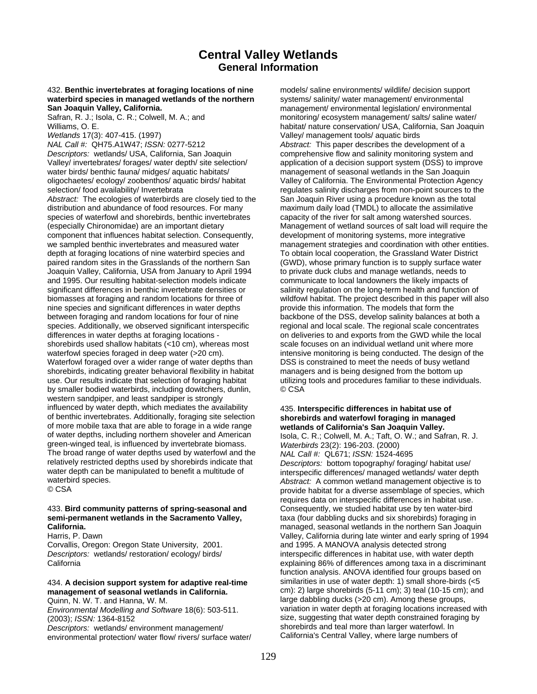# **Central Valley Wetlands General Information**

## 432. **Benthic invertebrates at foraging locations of nine waterbird species in managed wetlands of the northern San Joaquin Valley, California.**

Safran, R. J.; Isola, C. R.; Colwell, M. A.; and Williams, O. E.

*Wetlands* 17(3): 407-415. (1997)

*NAL Call #:* QH75.A1W47; *ISSN:* 0277-5212 *Descriptors:* wetlands/ USA, California, San Joaquin Valley/ invertebrates/ forages/ water depth/ site selection/ water birds/ benthic fauna/ midges/ aquatic habitats/ oligochaetes/ ecology/ zoobenthos/ aquatic birds/ habitat selection/ food availability/ Invertebrata *Abstract:* The ecologies of waterbirds are closely tied to the distribution and abundance of food resources. For many species of waterfowl and shorebirds, benthic invertebrates (especially Chironomidae) are an important dietary component that influences habitat selection. Consequently, we sampled benthic invertebrates and measured water depth at foraging locations of nine waterbird species and paired random sites in the Grasslands of the northern San Joaquin Valley, California, USA from January to April 1994 and 1995. Our resulting habitat-selection models indicate significant differences in benthic invertebrate densities or biomasses at foraging and random locations for three of nine species and significant differences in water depths between foraging and random locations for four of nine species. Additionally, we observed significant interspecific differences in water depths at foraging locations shorebirds used shallow habitats (<10 cm), whereas most waterfowl species foraged in deep water (>20 cm). Waterfowl foraged over a wider range of water depths than shorebirds, indicating greater behavioral flexibility in habitat use. Our results indicate that selection of foraging habitat by smaller bodied waterbirds, including dowitchers, dunlin, western sandpiper, and least sandpiper is strongly influenced by water depth, which mediates the availability of benthic invertebrates. Additionally, foraging site selection of more mobile taxa that are able to forage in a wide range of water depths, including northern shoveler and American green-winged teal, is influenced by invertebrate biomass. The broad range of water depths used by waterfowl and the relatively restricted depths used by shorebirds indicate that water depth can be manipulated to benefit a multitude of waterbird species.

© CSA

## 433. **Bird community patterns of spring-seasonal and semi-permanent wetlands in the Sacramento Valley, California.**

Harris, P. Dawn

Corvallis, Oregon: Oregon State University, 2001. *Descriptors:* wetlands/ restoration/ ecology/ birds/ **California** 

# 434. **A decision support system for adaptive real-time management of seasonal wetlands in California.**

Quinn, N. W. T. and Hanna, W. M. *Environmental Modelling and Software* 18(6): 503-511. (2003); *ISSN:* 1364-8152

*Descriptors:* wetlands/ environment management/ environmental protection/ water flow/ rivers/ surface water/

models/ saline environments/ wildlife/ decision support systems/ salinity/ water management/ environmental management/ environmental legislation/ environmental monitoring/ ecosystem management/ salts/ saline water/ habitat/ nature conservation/ USA, California, San Joaquin Valley/ management tools/ aquatic birds *Abstract:* This paper describes the development of a comprehensive flow and salinity monitoring system and application of a decision support system (DSS) to improve management of seasonal wetlands in the San Joaquin Valley of California. The Environmental Protection Agency regulates salinity discharges from non-point sources to the San Joaquin River using a procedure known as the total maximum daily load (TMDL) to allocate the assimilative capacity of the river for salt among watershed sources. Management of wetland sources of salt load will require the development of monitoring systems, more integrative management strategies and coordination with other entities. To obtain local cooperation, the Grassland Water District (GWD), whose primary function is to supply surface water to private duck clubs and manage wetlands, needs to communicate to local landowners the likely impacts of salinity regulation on the long-term health and function of wildfowl habitat. The project described in this paper will also provide this information. The models that form the backbone of the DSS, develop salinity balances at both a regional and local scale. The regional scale concentrates on deliveries to and exports from the GWD while the local scale focuses on an individual wetland unit where more intensive monitoring is being conducted. The design of the DSS is constrained to meet the needs of busy wetland managers and is being designed from the bottom up utilizing tools and procedures familiar to these individuals. © CSA

# 435. **Interspecific differences in habitat use of shorebirds and waterfowl foraging in managed wetlands of California's San Joaquin Valley.**

Isola, C. R.; Colwell, M. A.; Taft, O. W.; and Safran, R. J. *Waterbirds* 23(2): 196-203. (2000) *NAL Call #:* QL671; *ISSN:* 1524-4695 *Descriptors:* bottom topography/ foraging/ habitat use/ interspecific differences/ managed wetlands/ water depth *Abstract:* A common wetland management objective is to provide habitat for a diverse assemblage of species, which requires data on interspecific differences in habitat use. Consequently, we studied habitat use by ten water-bird taxa (four dabbling ducks and six shorebirds) foraging in managed, seasonal wetlands in the northern San Joaquin Valley, California during late winter and early spring of 1994 and 1995. A MANOVA analysis detected strong interspecific differences in habitat use, with water depth explaining 86% of differences among taxa in a discriminant function analysis. ANOVA identified four groups based on similarities in use of water depth: 1) small shore-birds (<5 cm): 2) large shorebirds (5-11 cm); 3) teal (10-15 cm); and large dabbling ducks (>20 cm). Among these groups, variation in water depth at foraging locations increased with size, suggesting that water depth constrained foraging by shorebirds and teal more than larger waterfowl. In California's Central Valley, where large numbers of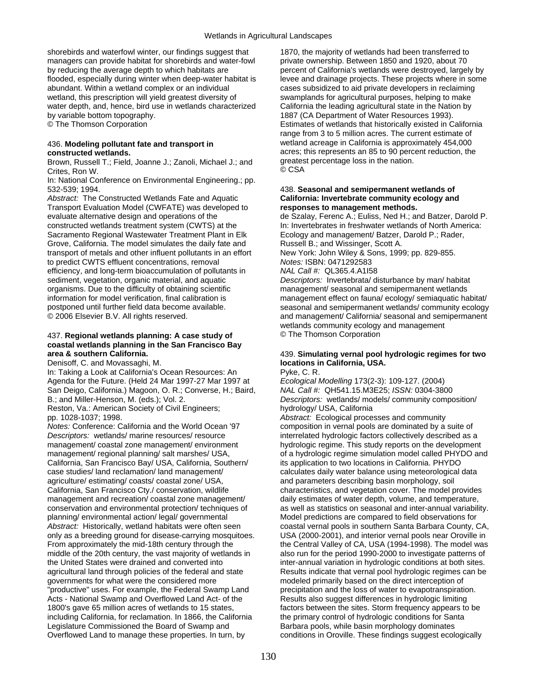shorebirds and waterfowl winter, our findings suggest that managers can provide habitat for shorebirds and water-fowl by reducing the average depth to which habitats are flooded, especially during winter when deep-water habitat is abundant. Within a wetland complex or an individual wetland, this prescription will yield greatest diversity of water depth, and, hence, bird use in wetlands characterized by variable bottom topography. © The Thomson Corporation

#### 436. **Modeling pollutant fate and transport in constructed wetlands.**

Brown, Russell T.; Field, Joanne J.; Zanoli, Michael J.; and Crites, Ron W.

In: National Conference on Environmental Engineering.; pp. 532-539; 1994.

*Abstract:* The Constructed Wetlands Fate and Aquatic Transport Evaluation Model (CWFATE) was developed to evaluate alternative design and operations of the constructed wetlands treatment system (CWTS) at the Sacramento Regional Wastewater Treatment Plant in Elk Grove, California. The model simulates the daily fate and transport of metals and other influent pollutants in an effort to predict CWTS effluent concentrations, removal efficiency, and long-term bioaccumulation of pollutants in sediment, vegetation, organic material, and aquatic organisms. Due to the difficulty of obtaining scientific information for model verification, final calibration is postponed until further field data become available. © 2006 Elsevier B.V. All rights reserved.

## 437. **Regional wetlands planning: A case study of coastal wetlands planning in the San Francisco Bay area & southern California.**

Denisoff, C. and Movassaghi, M.

In: Taking a Look at California's Ocean Resources: An Agenda for the Future. (Held 24 Mar 1997-27 Mar 1997 at San Deigo, California.) Magoon, O. R.; Converse, H.; Baird, B.; and Miller-Henson, M. (eds.); Vol. 2. Reston, Va.: American Society of Civil Engineers;

pp. 1028-1037; 1998.

*Notes:* Conference: California and the World Ocean '97 *Descriptors:* wetlands/ marine resources/ resource management/ coastal zone management/ environment management/ regional planning/ salt marshes/ USA, California, San Francisco Bay/ USA, California, Southern/ case studies/ land reclamation/ land management/ agriculture/ estimating/ coasts/ coastal zone/ USA, California, San Francisco Cty./ conservation, wildlife management and recreation/ coastal zone management/ conservation and environmental protection/ techniques of planning/ environmental action/ legal/ governmental *Abstract:* Historically, wetland habitats were often seen only as a breeding ground for disease-carrying mosquitoes. From approximately the mid-18th century through the middle of the 20th century, the vast majority of wetlands in the United States were drained and converted into agricultural land through policies of the federal and state governments for what were the considered more "productive" uses. For example, the Federal Swamp Land Acts - National Swamp and Overflowed Land Act- of the 1800's gave 65 million acres of wetlands to 15 states, including California, for reclamation. In 1866, the California Legislature Commissioned the Board of Swamp and Overflowed Land to manage these properties. In turn, by

1870, the majority of wetlands had been transferred to private ownership. Between 1850 and 1920, about 70 percent of California's wetlands were destroyed, largely by levee and drainage projects. These projects where in some cases subsidized to aid private developers in reclaiming swamplands for agricultural purposes, helping to make California the leading agricultural state in the Nation by 1887 (CA Department of Water Resources 1993). Estimates of wetlands that historically existed in California range from 3 to 5 million acres. The current estimate of wetland acreage in California is approximately 454,000 acres; this represents an 85 to 90 percent reduction, the greatest percentage loss in the nation. © CSA

#### 438. **Seasonal and semipermanent wetlands of California: Invertebrate community ecology and responses to management methods.**

de Szalay, Ferenc A.; Euliss, Ned H.; and Batzer, Darold P. In: Invertebrates in freshwater wetlands of North America: Ecology and management/ Batzer, Darold P.; Rader, Russell B.; and Wissinger, Scott A. New York: John Wiley & Sons, 1999; pp. 829-855. *Notes:* ISBN: 0471292583 *NAL Call #:* QL365.4.A1I58

*Descriptors:* Invertebrata/ disturbance by man/ habitat management/ seasonal and semipermanent wetlands management effect on fauna/ ecology/ semiaquatic habitat/ seasonal and semipermanent wetlands/ community ecology and management/ California/ seasonal and semipermanent wetlands community ecology and management © The Thomson Corporation

#### 439. **Simulating vernal pool hydrologic regimes for two locations in California, USA.**  Pyke, C. R.

*Ecological Modelling* 173(2-3): 109-127. (2004) *NAL Call #:* QH541.15.M3E25; *ISSN:* 0304-3800 *Descriptors:* wetlands/ models/ community composition/ hydrology/ USA, California

*Abstract:* Ecological processes and community composition in vernal pools are dominated by a suite of interrelated hydrologic factors collectively described as a hydrologic regime. This study reports on the development of a hydrologic regime simulation model called PHYDO and its application to two locations in California. PHYDO calculates daily water balance using meteorological data and parameters describing basin morphology, soil characteristics, and vegetation cover. The model provides daily estimates of water depth, volume, and temperature, as well as statistics on seasonal and inter-annual variability. Model predictions are compared to field observations for coastal vernal pools in southern Santa Barbara County, CA, USA (2000-2001), and interior vernal pools near Oroville in the Central Valley of CA, USA (1994-1998). The model was also run for the period 1990-2000 to investigate patterns of inter-annual variation in hydrologic conditions at both sites. Results indicate that vernal pool hydrologic regimes can be modeled primarily based on the direct interception of precipitation and the loss of water to evapotranspiration. Results also suggest differences in hydrologic limiting factors between the sites. Storm frequency appears to be the primary control of hydrologic conditions for Santa Barbara pools, while basin morphology dominates conditions in Oroville. These findings suggest ecologically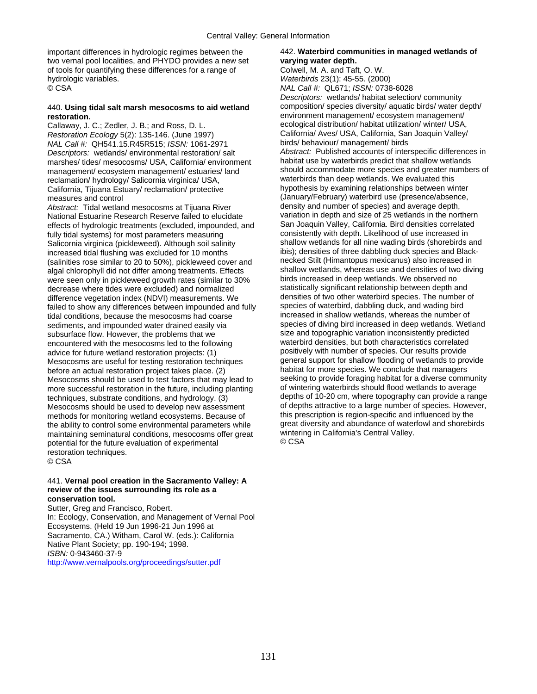important differences in hydrologic regimes between the two vernal pool localities, and PHYDO provides a new set of tools for quantifying these differences for a range of hydrologic variables. © CSA

## 440. **Using tidal salt marsh mesocosms to aid wetland restoration.**

Callaway, J. C.; Zedler, J. B.; and Ross, D. L. *Restoration Ecology* 5(2): 135-146. (June 1997) *NAL Call #:* QH541.15.R45R515; *ISSN:* 1061-2971 *Descriptors:* wetlands/ environmental restoration/ salt marshes/ tides/ mesocosms/ USA, California/ environment management/ ecosystem management/ estuaries/ land reclamation/ hydrology/ Salicornia virginica/ USA, California, Tijuana Estuary/ reclamation/ protective measures and control

*Abstract:* Tidal wetland mesocosms at Tijuana River National Estuarine Research Reserve failed to elucidate effects of hydrologic treatments (excluded, impounded, and fully tidal systems) for most parameters measuring Salicornia virginica (pickleweed). Although soil salinity increased tidal flushing was excluded for 10 months (salinities rose similar to 20 to 50%), pickleweed cover and algal chlorophyll did not differ among treatments. Effects were seen only in pickleweed growth rates (similar to 30% decrease where tides were excluded) and normalized difference vegetation index (NDVI) measurements. We failed to show any differences between impounded and fully tidal conditions, because the mesocosms had coarse sediments, and impounded water drained easily via subsurface flow. However, the problems that we encountered with the mesocosms led to the following advice for future wetland restoration projects: (1) Mesocosms are useful for testing restoration techniques before an actual restoration project takes place. (2) Mesocosms should be used to test factors that may lead to more successful restoration in the future, including planting techniques, substrate conditions, and hydrology. (3) Mesocosms should be used to develop new assessment methods for monitoring wetland ecosystems. Because of the ability to control some environmental parameters while maintaining seminatural conditions, mesocosms offer great potential for the future evaluation of experimental restoration techniques. © CSA

#### 441. **Vernal pool creation in the Sacramento Valley: A review of the issues surrounding its role as a conservation tool.**

Sutter, Greg and Francisco, Robert. In: Ecology, Conservation, and Management of Vernal Pool Ecosystems. (Held 19 Jun 1996-21 Jun 1996 at Sacramento, CA.) Witham, Carol W. (eds.): California Native Plant Society; pp. 190-194; 1998. *ISBN:* 0-943460-37-9 <http://www.vernalpools.org/proceedings/sutter.pdf>

## 442. **Waterbird communities in managed wetlands of varying water depth.**

Colwell, M. A. and Taft, O. W. *Waterbirds* 23(1): 45-55. (2000) *NAL Call #:* QL671; *ISSN:* 0738-6028 *Descriptors:* wetlands/ habitat selection/ community composition/ species diversity/ aquatic birds/ water depth/ environment management/ ecosystem management/ ecological distribution/ habitat utilization/ winter/ USA, California/ Aves/ USA, California, San Joaquin Valley/ birds/ behaviour/ management/ birds *Abstract:* Published accounts of interspecific differences in habitat use by waterbirds predict that shallow wetlands should accommodate more species and greater numbers of waterbirds than deep wetlands. We evaluated this hypothesis by examining relationships between winter (January/February) waterbird use (presence/absence, density and number of species) and average depth, variation in depth and size of 25 wetlands in the northern San Joaquin Valley, California. Bird densities correlated consistently with depth. Likelihood of use increased in shallow wetlands for all nine wading birds (shorebirds and ibis); densities of three dabbling duck species and Blacknecked Stilt (Himantopus mexicanus) also increased in shallow wetlands, whereas use and densities of two diving birds increased in deep wetlands. We observed no statistically significant relationship between depth and densities of two other waterbird species. The number of species of waterbird, dabbling duck, and wading bird increased in shallow wetlands, whereas the number of species of diving bird increased in deep wetlands. Wetland size and topographic variation inconsistently predicted waterbird densities, but both characteristics correlated positively with number of species. Our results provide general support for shallow flooding of wetlands to provide habitat for more species. We conclude that managers seeking to provide foraging habitat for a diverse community of wintering waterbirds should flood wetlands to average depths of 10-20 cm, where topography can provide a range of depths attractive to a large number of species. However, this prescription is region-specific and influenced by the great diversity and abundance of waterfowl and shorebirds wintering in California's Central Valley. © CSA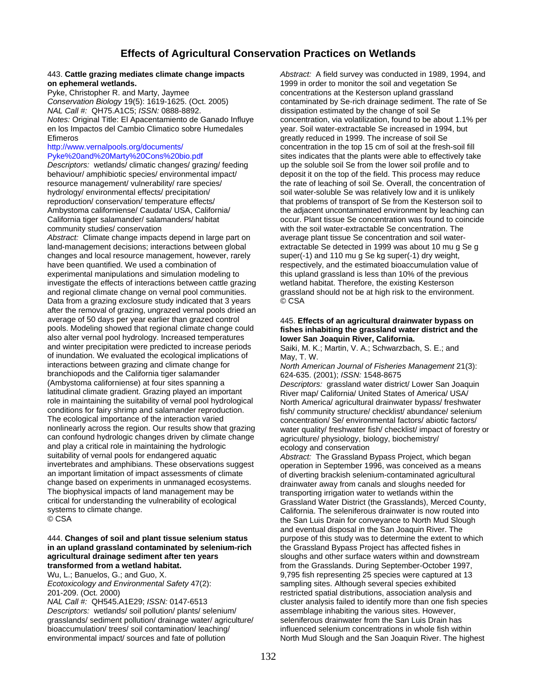## 443. **Cattle grazing mediates climate change impacts on ephemeral wetlands.**

Pyke, Christopher R. and Marty, Jaymee *Conservation Biology* 19(5): 1619-1625. (Oct. 2005) *NAL Call #:* QH75.A1C5; *ISSN:* 0888-8892. *Notes:* Original Title: El Apacentamiento de Ganado Influye en los Impactos del Cambio Climatico sobre Humedales Efimeros

#### http://www.vernalpools.org/documents/ [Pyke%20and%20Marty%20Cons%20bio.pdf](http://www.vernalpools.org/documents/Pyke%20and%20Marty%20Cons%20bio.pdf)

*Descriptors:* wetlands/ climatic changes/ grazing/ feeding behaviour/ amphibiotic species/ environmental impact/ resource management/ vulnerability/ rare species/ hydrology/ environmental effects/ precipitation/ reproduction/ conservation/ temperature effects/ Ambystoma californiense/ Caudata/ USA, California/ California tiger salamander/ salamanders/ habitat community studies/ conservation

*Abstract:* Climate change impacts depend in large part on land-management decisions; interactions between global changes and local resource management, however, rarely have been quantified. We used a combination of experimental manipulations and simulation modeling to investigate the effects of interactions between cattle grazing and regional climate change on vernal pool communities. Data from a grazing exclosure study indicated that 3 years after the removal of grazing, ungrazed vernal pools dried an average of 50 days per year earlier than grazed control pools. Modeling showed that regional climate change could also alter vernal pool hydrology. Increased temperatures and winter precipitation were predicted to increase periods of inundation. We evaluated the ecological implications of interactions between grazing and climate change for branchiopods and the California tiger salamander (Ambystoma californiense) at four sites spanning a latitudinal climate gradient. Grazing played an important role in maintaining the suitability of vernal pool hydrological conditions for fairy shrimp and salamander reproduction. The ecological importance of the interaction varied nonlinearly across the region. Our results show that grazing can confound hydrologic changes driven by climate change and play a critical role in maintaining the hydrologic suitability of vernal pools for endangered aquatic invertebrates and amphibians. These observations suggest an important limitation of impact assessments of climate change based on experiments in unmanaged ecosystems. The biophysical impacts of land management may be critical for understanding the vulnerability of ecological systems to climate change. © CSA

## 444. **Changes of soil and plant tissue selenium status in an upland grassland contaminated by selenium-rich agricultural drainage sediment after ten years transformed from a wetland habitat.**

Wu, L.; Banuelos, G.; and Guo, X.

*Ecotoxicology and Environmental Safety* 47(2): 201-209. (Oct. 2000)

*NAL Call #:* QH545.A1E29; *ISSN:* 0147-6513 *Descriptors:* wetlands/ soil pollution/ plants/ selenium/ grasslands/ sediment pollution/ drainage water/ agriculture/ bioaccumulation/ trees/ soil contamination/ leaching/ environmental impact/ sources and fate of pollution

*Abstract:* A field survey was conducted in 1989, 1994, and 1999 in order to monitor the soil and vegetation Se concentrations at the Kesterson upland grassland contaminated by Se-rich drainage sediment. The rate of Se dissipation estimated by the change of soil Se concentration, via volatilization, found to be about 1.1% per year. Soil water-extractable Se increased in 1994, but greatly reduced in 1999. The increase of soil Se concentration in the top 15 cm of soil at the fresh-soil fill sites indicates that the plants were able to effectively take up the soluble soil Se from the lower soil profile and to deposit it on the top of the field. This process may reduce the rate of leaching of soil Se. Overall, the concentration of soil water-soluble Se was relatively low and it is unlikely that problems of transport of Se from the Kesterson soil to the adjacent uncontaminated environment by leaching can occur. Plant tissue Se concentration was found to coincide with the soil water-extractable Se concentration. The average plant tissue Se concentration and soil waterextractable Se detected in 1999 was about 10 mu g Se g super(-1) and 110 mu g Se kg super(-1) dry weight, respectively, and the estimated bioaccumulation value of this upland grassland is less than 10% of the previous wetland habitat. Therefore, the existing Kesterson grassland should not be at high risk to the environment. © CSA

## 445. **Effects of an agricultural drainwater bypass on fishes inhabiting the grassland water district and the lower San Joaquin River, California.**

Saiki, M. K.; Martin, V. A.; Schwarzbach, S. E.; and May, T. W.

*North American Journal of Fisheries Management* 21(3): 624-635. (2001); *ISSN:* 1548-8675

*Descriptors:* grassland water district/ Lower San Joaquin River map/ California/ United States of America/ USA/ North America/ agricultural drainwater bypass/ freshwater fish/ community structure/ checklist/ abundance/ selenium concentration/ Se/ environmental factors/ abiotic factors/ water quality/ freshwater fish/ checklist/ impact of forestry or agriculture/ physiology, biology, biochemistry/ ecology and conservation

*Abstract:* The Grassland Bypass Project, which began operation in September 1996, was conceived as a means of diverting brackish selenium-contaminated agricultural drainwater away from canals and sloughs needed for transporting irrigation water to wetlands within the Grassland Water District (the Grasslands), Merced County, California. The seleniferous drainwater is now routed into the San Luis Drain for conveyance to North Mud Slough and eventual disposal in the San Joaquin River. The purpose of this study was to determine the extent to which the Grassland Bypass Project has affected fishes in sloughs and other surface waters within and downstream from the Grasslands. During September-October 1997, 9,795 fish representing 25 species were captured at 13 sampling sites. Although several species exhibited restricted spatial distributions, association analysis and cluster analysis failed to identify more than one fish species assemblage inhabiting the various sites. However, seleniferous drainwater from the San Luis Drain has influenced selenium concentrations in whole fish within North Mud Slough and the San Joaquin River. The highest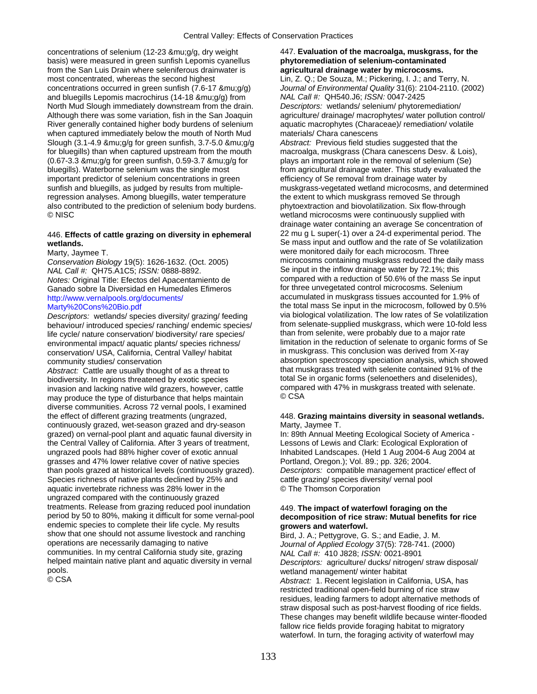concentrations of selenium (12-23 μg/g, dry weight basis) were measured in green sunfish Lepomis cyanellus from the San Luis Drain where seleniferous drainwater is most concentrated, whereas the second highest concentrations occurred in green sunfish  $(7.6-17 \text{ Amu};q/q)$ and bluegills Lepomis macrochirus (14-18 μg/g) from North Mud Slough immediately downstream from the drain. Although there was some variation, fish in the San Joaquin River generally contained higher body burdens of selenium when captured immediately below the mouth of North Mud Slough (3.1-4.9 & mu; g/g for green sunfish, 3.7-5.0 & mu; g/g for bluegills) than when captured upstream from the mouth  $(0.67-3.3$  μg/g for green sunfish, 0.59-3.7 μg/g for bluegills). Waterborne selenium was the single most important predictor of selenium concentrations in green sunfish and bluegills, as judged by results from multipleregression analyses. Among bluegills, water temperature also contributed to the prediction of selenium body burdens. © NISC

## 446. **Effects of cattle grazing on diversity in ephemeral wetlands.**

Marty, Jaymee T.

*Conservation Biology* 19(5): 1626-1632. (Oct. 2005) *NAL Call #:* QH75.A1C5; *ISSN:* 0888-8892. *Notes:* Original Title: Efectos del Apacentamiento de Ganado sobre la Diversidad en Humedales Efimeros [http://www.vernalpools.org/documents/](http://www.vernalpools.org/documents/Marty%20Cons%20Bio.pdf)  Marty%20Cons%20Bio.pdf

*Descriptors:* wetlands/ species diversity/ grazing/ feeding behaviour/ introduced species/ ranching/ endemic species/ life cycle/ nature conservation/ biodiversity/ rare species/ environmental impact/ aquatic plants/ species richness/ conservation/ USA, California, Central Valley/ habitat community studies/ conservation

*Abstract:* Cattle are usually thought of as a threat to biodiversity. In regions threatened by exotic species invasion and lacking native wild grazers, however, cattle may produce the type of disturbance that helps maintain diverse communities. Across 72 vernal pools, I examined the effect of different grazing treatments (ungrazed, continuously grazed, wet-season grazed and dry-season grazed) on vernal-pool plant and aquatic faunal diversity in the Central Valley of California. After 3 years of treatment, ungrazed pools had 88% higher cover of exotic annual grasses and 47% lower relative cover of native species than pools grazed at historical levels (continuously grazed). Species richness of native plants declined by 25% and aquatic invertebrate richness was 28% lower in the ungrazed compared with the continuously grazed treatments. Release from grazing reduced pool inundation period by 50 to 80%, making it difficult for some vernal-pool endemic species to complete their life cycle. My results show that one should not assume livestock and ranching operations are necessarily damaging to native communities. In my central California study site, grazing helped maintain native plant and aquatic diversity in vernal pools.

© CSA

## 447. **Evaluation of the macroalga, muskgrass, for the phytoremediation of selenium-contaminated agricultural drainage water by microcosms.**

Lin, Z. Q.; De Souza, M.; Pickering, I. J.; and Terry, N. *Journal of Environmental Quality* 31(6): 2104-2110. (2002) *NAL Call #:* QH540.J6; *ISSN:* 0047-2425 *Descriptors:* wetlands/ selenium/ phytoremediation/ agriculture/ drainage/ macrophytes/ water pollution control/ aquatic macrophytes (Characeae)/ remediation/ volatile materials/ Chara canescens

*Abstract:* Previous field studies suggested that the macroalga, muskgrass (Chara canescens Desv. & Lois), plays an important role in the removal of selenium (Se) from agricultural drainage water. This study evaluated the efficiency of Se removal from drainage water by muskgrass-vegetated wetland microcosms, and determined the extent to which muskgrass removed Se through phytoextraction and biovolatilization. Six flow-through wetland microcosms were continuously supplied with drainage water containing an average Se concentration of 22 mu g L super(-1) over a 24-d experimental period. The Se mass input and outflow and the rate of Se volatilization were monitored daily for each microcosm. Three microcosms containing muskgrass reduced the daily mass Se input in the inflow drainage water by 72.1%; this compared with a reduction of 50.6% of the mass Se input for three unvegetated control microcosms. Selenium accumulated in muskgrass tissues accounted for 1.9% of the total mass Se input in the microcosm, followed by 0.5% via biological volatilization. The low rates of Se volatilization from selenate-supplied muskgrass, which were 10-fold less than from selenite, were probably due to a major rate limitation in the reduction of selenate to organic forms of Se in muskgrass. This conclusion was derived from X-ray absorption spectroscopy speciation analysis, which showed that muskgrass treated with selenite contained 91% of the total Se in organic forms (selenoethers and diselenides), compared with 47% in muskgrass treated with selenate. © CSA

## 448. **Grazing maintains diversity in seasonal wetlands.** Marty, Jaymee T.

In: 89th Annual Meeting Ecological Society of America - Lessons of Lewis and Clark: Ecological Exploration of Inhabited Landscapes. (Held 1 Aug 2004-6 Aug 2004 at Portland, Oregon.); Vol. 89.; pp. 326; 2004. *Descriptors:* compatible management practice/ effect of cattle grazing/ species diversity/ vernal pool © The Thomson Corporation

## 449. **The impact of waterfowl foraging on the decomposition of rice straw: Mutual benefits for rice growers and waterfowl.**

Bird, J. A.; Pettygrove, G. S.; and Eadie, J. M. *Journal of Applied Ecology* 37(5): 728-741. (2000) *NAL Call #:* 410 J828; *ISSN:* 0021-8901 *Descriptors:* agriculture/ ducks/ nitrogen/ straw disposal/ wetland management/ winter habitat *Abstract:* 1. Recent legislation in California, USA, has restricted traditional open-field burning of rice straw residues, leading farmers to adopt alternative methods of straw disposal such as post-harvest flooding of rice fields. These changes may benefit wildlife because winter-flooded fallow rice fields provide foraging habitat to migratory waterfowl. In turn, the foraging activity of waterfowl may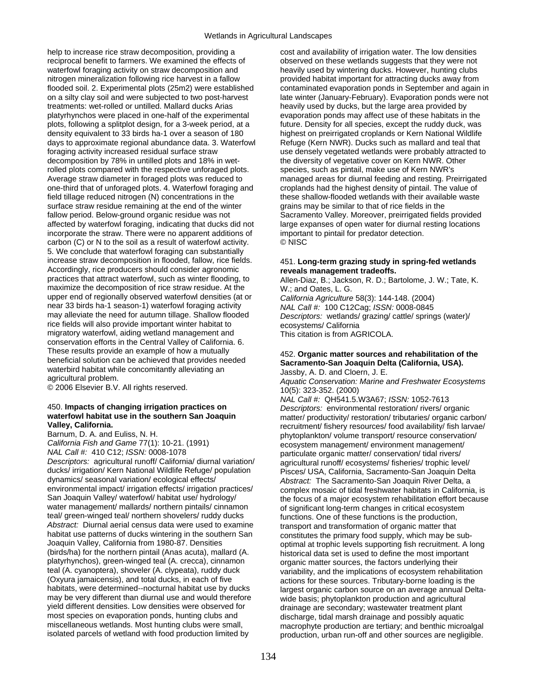help to increase rice straw decomposition, providing a reciprocal benefit to farmers. We examined the effects of waterfowl foraging activity on straw decomposition and nitrogen mineralization following rice harvest in a fallow flooded soil. 2. Experimental plots (25m2) were established on a silty clay soil and were subjected to two post-harvest treatments: wet-rolled or untilled. Mallard ducks Arias platyrhynchos were placed in one-half of the experimental plots, following a splitplot design, for a 3-week period, at a density equivalent to 33 birds ha-1 over a season of 180 days to approximate regional abundance data. 3. Waterfowl foraging activity increased residual surface straw decomposition by 78% in untilled plots and 18% in wetrolled plots compared with the respective unforaged plots. Average straw diameter in foraged plots was reduced to one-third that of unforaged plots. 4. Waterfowl foraging and field tillage reduced nitrogen (N) concentrations in the surface straw residue remaining at the end of the winter fallow period. Below-ground organic residue was not affected by waterfowl foraging, indicating that ducks did not incorporate the straw. There were no apparent additions of carbon (C) or N to the soil as a result of waterfowl activity. 5. We conclude that waterfowl foraging can substantially increase straw decomposition in flooded, fallow, rice fields. Accordingly, rice producers should consider agronomic practices that attract waterfowl, such as winter flooding, to maximize the decomposition of rice straw residue. At the upper end of regionally observed waterfowl densities (at or near 33 birds ha-1 season-1) waterfowl foraging activity may alleviate the need for autumn tillage. Shallow flooded rice fields will also provide important winter habitat to migratory waterfowl, aiding wetland management and conservation efforts in the Central Valley of California. 6. These results provide an example of how a mutually beneficial solution can be achieved that provides needed waterbird habitat while concomitantly alleviating an agricultural problem.

© 2006 Elsevier B.V. All rights reserved.

#### 450. **Impacts of changing irrigation practices on waterfowl habitat use in the southern San Joaquin Valley, California.**

Barnum, D. A. and Euliss, N. H. *California Fish and Game* 77(1): 10-21. (1991) *NAL Call #:* 410 C12; *ISSN:* 0008-1078 *Descriptors:* agricultural runoff/ California/ diurnal variation/ ducks/ irrigation/ Kern National Wildlife Refuge/ population dynamics/ seasonal variation/ ecological effects/ environmental impact/ irrigation effects/ irrigation practices/ San Joaquin Valley/ waterfowl/ habitat use/ hydrology/ water management/ mallards/ northern pintails/ cinnamon teal/ green-winged teal/ northern shovelers/ ruddy ducks *Abstract:* Diurnal aerial census data were used to examine habitat use patterns of ducks wintering in the southern San Joaquin Valley, California from 1980-87. Densities (birds/ha) for the northern pintail (Anas acuta), mallard (A. platyrhynchos), green-winged teal (A. crecca), cinnamon teal (A. cyanoptera), shoveler (A. clypeata), ruddy duck (Oxyura jamaicensis), and total ducks, in each of five habitats, were determined--nocturnal habitat use by ducks may be very different than diurnal use and would therefore yield different densities. Low densities were observed for most species on evaporation ponds, hunting clubs and miscellaneous wetlands. Most hunting clubs were small, isolated parcels of wetland with food production limited by

cost and availability of irrigation water. The low densities observed on these wetlands suggests that they were not heavily used by wintering ducks. However, hunting clubs provided habitat important for attracting ducks away from contaminated evaporation ponds in September and again in late winter (January-February). Evaporation ponds were not heavily used by ducks, but the large area provided by evaporation ponds may affect use of these habitats in the future. Density for all species, except the ruddy duck, was highest on preirrigated croplands or Kern National Wildlife Refuge (Kern NWR). Ducks such as mallard and teal that use densely vegetated wetlands were probably attracted to the diversity of vegetative cover on Kern NWR. Other species, such as pintail, make use of Kern NWR's managed areas for diurnal feeding and resting. Preirrigated croplands had the highest density of pintail. The value of these shallow-flooded wetlands with their available waste grains may be similar to that of rice fields in the Sacramento Valley. Moreover, preirrigated fields provided large expanses of open water for diurnal resting locations important to pintail for predator detection. © NISC

## 451. **Long-term grazing study in spring-fed wetlands reveals management tradeoffs.**

Allen-Diaz, B.; Jackson, R. D.; Bartolome, J. W.; Tate, K. W.; and Oates, L. G.

*California Agriculture* 58(3): 144-148. (2004) *NAL Call #:* 100 C12Cag; *ISSN:* 0008-0845 *Descriptors:* wetlands/ grazing/ cattle/ springs (water)/ ecosystems/ California This citation is from AGRICOLA.

#### 452. **Organic matter sources and rehabilitation of the Sacramento-San Joaquin Delta (California, USA).**  Jassby, A. D. and Cloern, J. E.

*Aquatic Conservation: Marine and Freshwater Ecosystems* 10(5): 323-352. (2000)

*NAL Call #:* QH541.5.W3A67; *ISSN:* 1052-7613 *Descriptors:* environmental restoration/ rivers/ organic matter/ productivity/ restoration/ tributaries/ organic carbon/ recruitment/ fishery resources/ food availability/ fish larvae/ phytoplankton/ volume transport/ resource conservation/ ecosystem management/ environment management/ particulate organic matter/ conservation/ tidal rivers/ agricultural runoff/ ecosystems/ fisheries/ trophic level/ Pisces/ USA, California, Sacramento-San Joaquin Delta *Abstract:* The Sacramento-San Joaquin River Delta, a complex mosaic of tidal freshwater habitats in California, is the focus of a major ecosystem rehabilitation effort because of significant long-term changes in critical ecosystem functions. One of these functions is the production, transport and transformation of organic matter that constitutes the primary food supply, which may be suboptimal at trophic levels supporting fish recruitment. A long historical data set is used to define the most important organic matter sources, the factors underlying their variability, and the implications of ecosystem rehabilitation actions for these sources. Tributary-borne loading is the largest organic carbon source on an average annual Deltawide basis; phytoplankton production and agricultural drainage are secondary; wastewater treatment plant discharge, tidal marsh drainage and possibly aquatic macrophyte production are tertiary; and benthic microalgal production, urban run-off and other sources are negligible.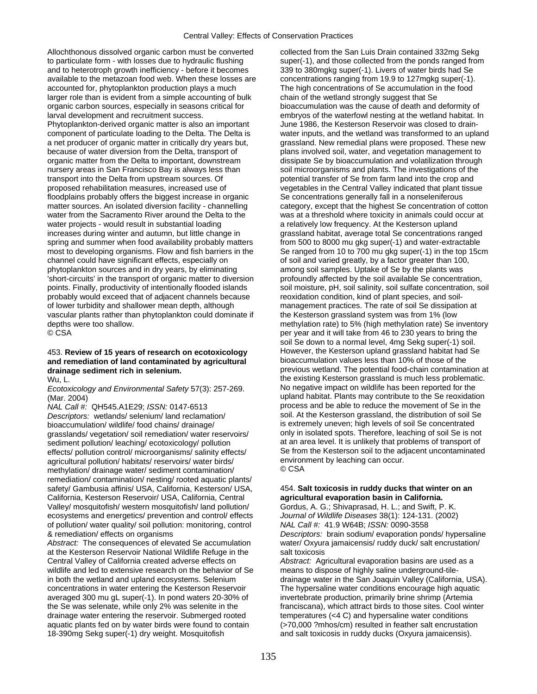Allochthonous dissolved organic carbon must be converted to particulate form - with losses due to hydraulic flushing and to heterotroph growth inefficiency - before it becomes available to the metazoan food web. When these losses are accounted for, phytoplankton production plays a much larger role than is evident from a simple accounting of bulk organic carbon sources, especially in seasons critical for larval development and recruitment success. Phytoplankton-derived organic matter is also an important component of particulate loading to the Delta. The Delta is a net producer of organic matter in critically dry years but, because of water diversion from the Delta, transport of organic matter from the Delta to important, downstream nursery areas in San Francisco Bay is always less than transport into the Delta from upstream sources. Of proposed rehabilitation measures, increased use of floodplains probably offers the biggest increase in organic matter sources. An isolated diversion facility - channelling water from the Sacramento River around the Delta to the water projects - would result in substantial loading increases during winter and autumn, but little change in spring and summer when food availability probably matters most to developing organisms. Flow and fish barriers in the channel could have significant effects, especially on phytoplankton sources and in dry years, by eliminating 'short-circuits' in the transport of organic matter to diversion points. Finally, productivity of intentionally flooded islands probably would exceed that of adjacent channels because of lower turbidity and shallower mean depth, although vascular plants rather than phytoplankton could dominate if depths were too shallow. © CSA

## 453. **Review of 15 years of research on ecotoxicology and remediation of land contaminated by agricultural drainage sediment rich in selenium.**

Wu, L.

*Ecotoxicology and Environmental Safety* 57(3): 257-269. (Mar. 2004)

*NAL Call #:* QH545.A1E29; *ISSN:* 0147-6513 *Descriptors:* wetlands/ selenium/ land reclamation/ bioaccumulation/ wildlife/ food chains/ drainage/ grasslands/ vegetation/ soil remediation/ water reservoirs/ sediment pollution/ leaching/ ecotoxicology/ pollution effects/ pollution control/ microorganisms/ salinity effects/ agricultural pollution/ habitats/ reservoirs/ water birds/ methylation/ drainage water/ sediment contamination/ remediation/ contamination/ nesting/ rooted aquatic plants/ safety/ Gambusia affinis/ USA, California, Kesterson/ USA, California, Kesterson Reservoir/ USA, California, Central Valley/ mosquitofish/ western mosquitofish/ land pollution/ ecosystems and energetics/ prevention and control/ effects of pollution/ water quality/ soil pollution: monitoring, control & remediation/ effects on organisms

*Abstract:* The consequences of elevated Se accumulation at the Kesterson Reservoir National Wildlife Refuge in the Central Valley of California created adverse effects on wildlife and led to extensive research on the behavior of Se in both the wetland and upland ecosystems. Selenium concentrations in water entering the Kesterson Reservoir averaged 300 mu gL super(-1). In pond waters 20-30% of the Se was selenate, while only 2% was selenite in the drainage water entering the reservoir. Submerged rooted aquatic plants fed on by water birds were found to contain 18-390mg Sekg super(-1) dry weight. Mosquitofish

collected from the San Luis Drain contained 332mg Sekg super(-1), and those collected from the ponds ranged from 339 to 380mgkg super(-1). Livers of water birds had Se concentrations ranging from 19.9 to 127mgkg super(-1). The high concentrations of Se accumulation in the food chain of the wetland strongly suggest that Se bioaccumulation was the cause of death and deformity of embryos of the waterfowl nesting at the wetland habitat. In June 1986, the Kesterson Reservoir was closed to drainwater inputs, and the wetland was transformed to an upland grassland. New remedial plans were proposed. These new plans involved soil, water, and vegetation management to dissipate Se by bioaccumulation and volatilization through soil microorganisms and plants. The investigations of the potential transfer of Se from farm land into the crop and vegetables in the Central Valley indicated that plant tissue Se concentrations generally fall in a nonseleniferous category, except that the highest Se concentration of cotton was at a threshold where toxicity in animals could occur at a relatively low frequency. At the Kesterson upland grassland habitat, average total Se concentrations ranged from 500 to 8000 mu gkg super(-1) and water-extractable Se ranged from 10 to 700 mu gkg super(-1) in the top 15cm of soil and varied greatly, by a factor greater than 100, among soil samples. Uptake of Se by the plants was profoundly affected by the soil available Se concentration, soil moisture, pH, soil salinity, soil sulfate concentration, soil reoxidation condition, kind of plant species, and soilmanagement practices. The rate of soil Se dissipation at the Kesterson grassland system was from 1% (low methylation rate) to 5% (high methylation rate) Se inventory per year and it will take from 46 to 230 years to bring the soil Se down to a normal level, 4mg Sekg super(-1) soil. However, the Kesterson upland grassland habitat had Se bioaccumulation values less than 10% of those of the previous wetland. The potential food-chain contamination at the existing Kesterson grassland is much less problematic. No negative impact on wildlife has been reported for the upland habitat. Plants may contribute to the Se reoxidation process and be able to reduce the movement of Se in the soil. At the Kesterson grassland, the distribution of soil Se is extremely uneven; high levels of soil Se concentrated only in isolated spots. Therefore, leaching of soil Se is not at an area level. It is unlikely that problems of transport of Se from the Kesterson soil to the adjacent uncontaminated environment by leaching can occur. © CSA

## 454. **Salt toxicosis in ruddy ducks that winter on an agricultural evaporation basin in California.**

Gordus, A. G.; Shivaprasad, H. L.; and Swift, P. K. *Journal of Wildlife Diseases* 38(1): 124-131. (2002) *NAL Call #:* 41.9 W64B; *ISSN:* 0090-3558 *Descriptors:* brain sodium/ evaporation ponds/ hypersaline water/ Oxyura jamaicensis/ ruddy duck/ salt encrustation/ salt toxicosis

*Abstract:* Agricultural evaporation basins are used as a means to dispose of highly saline underground-tiledrainage water in the San Joaquin Valley (California, USA). The hypersaline water conditions encourage high aquatic invertebrate production, primarily brine shrimp (Artemia franciscana), which attract birds to those sites. Cool winter temperatures (<4 C) and hypersaline water conditions (>70,000 ?mhos/cm) resulted in feather salt encrustation and salt toxicosis in ruddy ducks (Oxyura jamaicensis).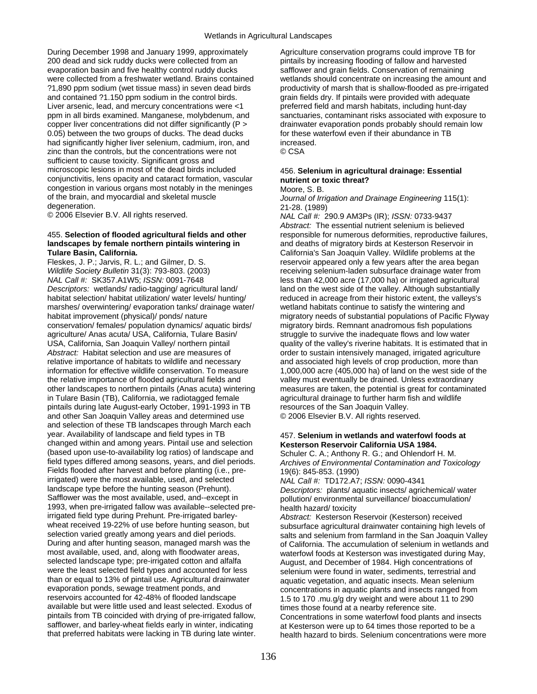During December 1998 and January 1999, approximately 200 dead and sick ruddy ducks were collected from an evaporation basin and five healthy control ruddy ducks were collected from a freshwater wetland. Brains contained ?1,890 ppm sodium (wet tissue mass) in seven dead birds and contained ?1.150 ppm sodium in the control birds. Liver arsenic, lead, and mercury concentrations were <1 ppm in all birds examined. Manganese, molybdenum, and copper liver concentrations did not differ significantly (P > 0.05) between the two groups of ducks. The dead ducks had significantly higher liver selenium, cadmium, iron, and zinc than the controls, but the concentrations were not sufficient to cause toxicity. Significant gross and microscopic lesions in most of the dead birds included conjunctivitis, lens opacity and cataract formation, vascular congestion in various organs most notably in the meninges of the brain, and myocardial and skeletal muscle degeneration.

© 2006 Elsevier B.V. All rights reserved.

## 455. **Selection of flooded agricultural fields and other landscapes by female northern pintails wintering in Tulare Basin, California.**

Fleskes, J. P.; Jarvis, R. L.; and Gilmer, D. S. *Wildlife Society Bulletin* 31(3): 793-803. (2003) *NAL Call #:* SK357.A1W5; *ISSN:* 0091-7648 *Descriptors:* wetlands/ radio-tagging/ agricultural land/ habitat selection/ habitat utilization/ water levels/ hunting/ marshes/ overwintering/ evaporation tanks/ drainage water/ habitat improvement (physical)/ ponds/ nature conservation/ females/ population dynamics/ aquatic birds/ agriculture/ Anas acuta/ USA, California, Tulare Basin/ USA, California, San Joaquin Valley/ northern pintail *Abstract:* Habitat selection and use are measures of relative importance of habitats to wildlife and necessary information for effective wildlife conservation. To measure the relative importance of flooded agricultural fields and other landscapes to northern pintails (Anas acuta) wintering in Tulare Basin (TB), California, we radiotagged female pintails during late August-early October, 1991-1993 in TB and other San Joaquin Valley areas and determined use and selection of these TB landscapes through March each year. Availability of landscape and field types in TB changed within and among years. Pintail use and selection (based upon use-to-availability log ratios) of landscape and field types differed among seasons, years, and diel periods. Fields flooded after harvest and before planting (i.e., preirrigated) were the most available, used, and selected landscape type before the hunting season (Prehunt). Safflower was the most available, used, and--except in 1993, when pre-irrigated fallow was available--selected preirrigated field type during Prehunt. Pre-irrigated barleywheat received 19-22% of use before hunting season, but selection varied greatly among years and diel periods. During and after hunting season, managed marsh was the most available, used, and, along with floodwater areas, selected landscape type; pre-irrigated cotton and alfalfa were the least selected field types and accounted for less than or equal to 13% of pintail use. Agricultural drainwater evaporation ponds, sewage treatment ponds, and reservoirs accounted for 42-48% of flooded landscape available but were little used and least selected. Exodus of pintails from TB coincided with drying of pre-irrigated fallow, safflower, and barley-wheat fields early in winter, indicating that preferred habitats were lacking in TB during late winter.

Agriculture conservation programs could improve TB for pintails by increasing flooding of fallow and harvested safflower and grain fields. Conservation of remaining wetlands should concentrate on increasing the amount and productivity of marsh that is shallow-flooded as pre-irrigated grain fields dry. If pintails were provided with adequate preferred field and marsh habitats, including hunt-day sanctuaries, contaminant risks associated with exposure to drainwater evaporation ponds probably should remain low for these waterfowl even if their abundance in TB increased. © CSA

## 456. **Selenium in agricultural drainage: Essential nutrient or toxic threat?**

Moore, S. B.

*Journal of Irrigation and Drainage Engineering* 115(1): 21-28. (1989)

*NAL Call #:* 290.9 AM3Ps (IR); *ISSN:* 0733-9437 *Abstract:* The essential nutrient selenium is believed responsible for numerous deformities, reproductive failures, and deaths of migratory birds at Kesterson Reservoir in California's San Joaquin Valley. Wildlife problems at the reservoir appeared only a few years after the area began receiving selenium-laden subsurface drainage water from less than 42,000 acre (17,000 ha) or irrigated agricultural land on the west side of the valley. Although substantially reduced in acreage from their historic extent, the valleys's wetland habitats continue to satisfy the wintering and migratory needs of substantial populations of Pacific Flyway migratory birds. Remnant anadromous fish populations struggle to survive the inadequate flows and low water quality of the valley's riverine habitats. It is estimated that in order to sustain intensively managed, irrigated agriculture and associated high levels of crop production, more than 1,000,000 acre (405,000 ha) of land on the west side of the valley must eventually be drained. Unless extraordinary measures are taken, the potential is great for contaminated agricultural drainage to further harm fish and wildlife resources of the San Joaquin Valley. © 2006 Elsevier B.V. All rights reserved.

## 457. **Selenium in wetlands and waterfowl foods at Kesterson Reservoir California USA 1984.**

Schuler C. A.; Anthony R. G.; and Ohlendorf H. M. *Archives of Environmental Contamination and Toxicology* 19(6): 845-853. (1990)

*NAL Call #:* TD172.A7; *ISSN:* 0090-4341 *Descriptors:* plants/ aquatic insects/ agrichemical/ water pollution/ environmental surveillance/ bioaccumulation/ health hazard/ toxicity

*Abstract:* Kesterson Reservoir (Kesterson) received subsurface agricultural drainwater containing high levels of salts and selenium from farmland in the San Joaquin Valley of California. The accumulation of selenium in wetlands and waterfowl foods at Kesterson was investigated during May, August, and December of 1984. High concentrations of selenium were found in water, sediments, terrestrial and aquatic vegetation, and aquatic insects. Mean selenium concentrations in aquatic plants and insects ranged from 1.5 to 170 .mu.g/g dry weight and were about 11 to 290 times those found at a nearby reference site. Concentrations in some waterfowl food plants and insects at Kesterson were up to 64 times those reported to be a health hazard to birds. Selenium concentrations were more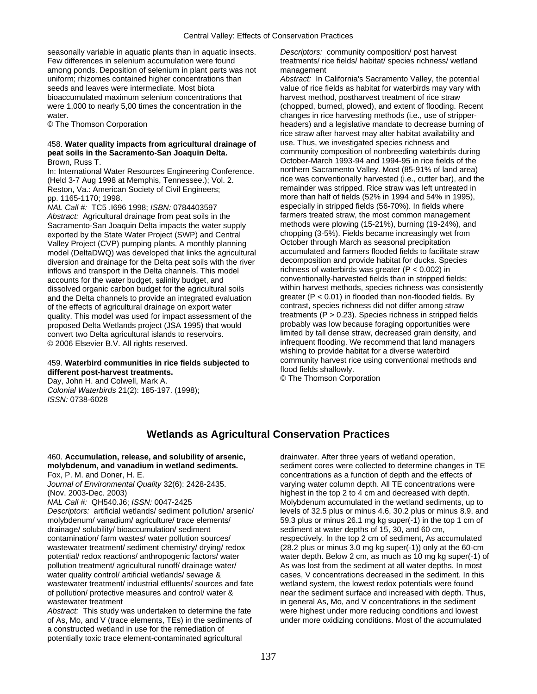seasonally variable in aquatic plants than in aquatic insects. Few differences in selenium accumulation were found among ponds. Deposition of selenium in plant parts was not uniform; rhizomes contained higher concentrations than seeds and leaves were intermediate. Most biota bioaccumulated maximum selenium concentrations that were 1,000 to nearly 5,00 times the concentration in the water.

© The Thomson Corporation

#### 458. **Water quality impacts from agricultural drainage of peat soils in the Sacramento-San Joaquin Delta.** Brown, Russ T.

In: International Water Resources Engineering Conference. (Held 3-7 Aug 1998 at Memphis, Tennessee.); Vol. 2. Reston, Va.: American Society of Civil Engineers; pp. 1165-1170; 1998.

*NAL Call #:* TC5 .I696 1998; *ISBN:* 0784403597 *Abstract:* Agricultural drainage from peat soils in the Sacramento-San Joaquin Delta impacts the water supply exported by the State Water Project (SWP) and Central Valley Project (CVP) pumping plants. A monthly planning model (DeltaDWQ) was developed that links the agricultural diversion and drainage for the Delta peat soils with the river inflows and transport in the Delta channels. This model accounts for the water budget, salinity budget, and dissolved organic carbon budget for the agricultural soils and the Delta channels to provide an integrated evaluation of the effects of agricultural drainage on export water quality. This model was used for impact assessment of the proposed Delta Wetlands project (JSA 1995) that would convert two Delta agricultural islands to reservoirs. © 2006 Elsevier B.V. All rights reserved.

#### 459. **Waterbird communities in rice fields subjected to different post-harvest treatments.**

Day, John H. and Colwell, Mark A. *Colonial Waterbirds* 21(2): 185-197. (1998); *ISSN:* 0738-6028

*Descriptors:* community composition/ post harvest treatments/ rice fields/ habitat/ species richness/ wetland management

*Abstract:* In California's Sacramento Valley, the potential value of rice fields as habitat for waterbirds may vary with harvest method, postharvest treatment of rice straw (chopped, burned, plowed), and extent of flooding. Recent changes in rice harvesting methods (i.e., use of stripperheaders) and a legislative mandate to decrease burning of rice straw after harvest may alter habitat availability and use. Thus, we investigated species richness and community composition of nonbreeding waterbirds during October-March 1993-94 and 1994-95 in rice fields of the northern Sacramento Valley. Most (85-91% of land area) rice was conventionally harvested (i.e., cutter bar), and the remainder was stripped. Rice straw was left untreated in more than half of fields (52% in 1994 and 54% in 1995), especially in stripped fields (56-70%). In fields where farmers treated straw, the most common management methods were plowing (15-21%), burning (19-24%), and chopping (3-5%). Fields became increasingly wet from October through March as seasonal precipitation accumulated and farmers flooded fields to facilitate straw decomposition and provide habitat for ducks. Species richness of waterbirds was greater ( $P < 0.002$ ) in conventionally-harvested fields than in stripped fields; within harvest methods, species richness was consistently greater (P < 0.01) in flooded than non-flooded fields. By contrast, species richness did not differ among straw treatments  $(P > 0.23)$ . Species richness in stripped fields probably was low because foraging opportunities were limited by tall dense straw, decreased grain density, and infrequent flooding. We recommend that land managers wishing to provide habitat for a diverse waterbird community harvest rice using conventional methods and flood fields shallowly.

© The Thomson Corporation

# **Wetlands as Agricultural Conservation Practices**

#### 460. **Accumulation, release, and solubility of arsenic, molybdenum, and vanadium in wetland sediments.**  Fox, P. M. and Doner, H. E.

*Journal of Environmental Quality* 32(6): 2428-2435.

(Nov. 2003-Dec. 2003) *NAL Call #:* QH540.J6; *ISSN:* 0047-2425 *Descriptors:* artificial wetlands/ sediment pollution/ arsenic/ molybdenum/ vanadium/ agriculture/ trace elements/ drainage/ solubility/ bioaccumulation/ sediment contamination/ farm wastes/ water pollution sources/ wastewater treatment/ sediment chemistry/ drying/ redox potential/ redox reactions/ anthropogenic factors/ water pollution treatment/ agricultural runoff/ drainage water/ water quality control/ artificial wetlands/ sewage & wastewater treatment/ industrial effluents/ sources and fate of pollution/ protective measures and control/ water & wastewater treatment

*Abstract:* This study was undertaken to determine the fate of As, Mo, and V (trace elements, TEs) in the sediments of a constructed wetland in use for the remediation of potentially toxic trace element-contaminated agricultural

drainwater. After three years of wetland operation, sediment cores were collected to determine changes in TE concentrations as a function of depth and the effects of varying water column depth. All TE concentrations were highest in the top 2 to 4 cm and decreased with depth. Molybdenum accumulated in the wetland sediments, up to levels of 32.5 plus or minus 4.6, 30.2 plus or minus 8.9, and 59.3 plus or minus 26.1 mg kg super(-1) in the top 1 cm of sediment at water depths of 15, 30, and 60 cm, respectively. In the top 2 cm of sediment, As accumulated (28.2 plus or minus 3.0 mg kg super(-1)) only at the 60-cm water depth. Below 2 cm, as much as 10 mg kg super(-1) of As was lost from the sediment at all water depths. In most cases, V concentrations decreased in the sediment. In this wetland system, the lowest redox potentials were found near the sediment surface and increased with depth. Thus, in general As, Mo, and V concentrations in the sediment were highest under more reducing conditions and lowest under more oxidizing conditions. Most of the accumulated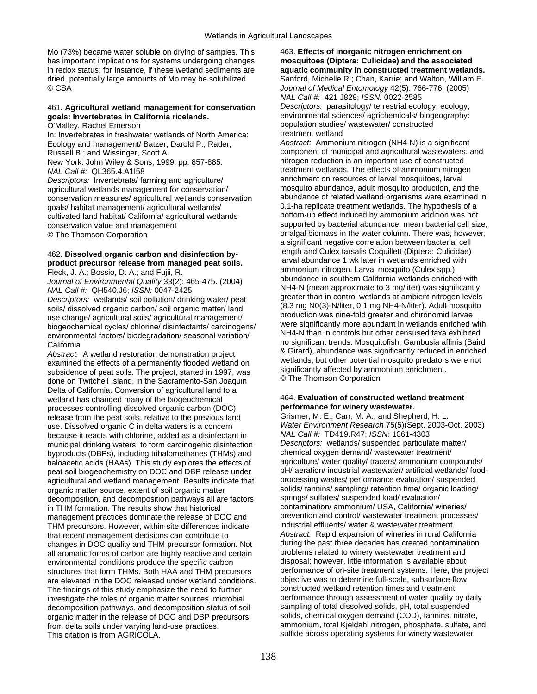Mo (73%) became water soluble on drying of samples. This has important implications for systems undergoing changes in redox status; for instance, if these wetland sediments are dried, potentially large amounts of Mo may be solubilized. © CSA

## 461. **Agricultural wetland management for conservation goals: Invertebrates in California ricelands.**

O'Malley, Rachel Emerson In: Invertebrates in freshwater wetlands of North America: Ecology and management/ Batzer, Darold P.; Rader, Russell B.; and Wissinger, Scott A. New York: John Wiley & Sons, 1999; pp. 857-885. *NAL Call #:* QL365.4.A1I58 *Descriptors:* Invertebrata/ farming and agriculture/ agricultural wetlands management for conservation/

conservation measures/ agricultural wetlands conservation goals/ habitat management/ agricultural wetlands/ cultivated land habitat/ California/ agricultural wetlands conservation value and management

© The Thomson Corporation

## 462. **Dissolved organic carbon and disinfection byproduct precursor release from managed peat soils.**

Fleck, J. A.; Bossio, D. A.; and Fujii, R.

*Journal of Environmental Quality* 33(2): 465-475. (2004) *NAL Call #:* QH540.J6; *ISSN:* 0047-2425

*Descriptors:* wetlands/ soil pollution/ drinking water/ peat soils/ dissolved organic carbon/ soil organic matter/ land use change/ agricultural soils/ agricultural management/ biogeochemical cycles/ chlorine/ disinfectants/ carcinogens/ environmental factors/ biodegradation/ seasonal variation/ California

*Abstract:* A wetland restoration demonstration project examined the effects of a permanently flooded wetland on subsidence of peat soils. The project, started in 1997, was done on Twitchell Island, in the Sacramento-San Joaquin Delta of California. Conversion of agricultural land to a wetland has changed many of the biogeochemical processes controlling dissolved organic carbon (DOC) release from the peat soils, relative to the previous land use. Dissolved organic C in delta waters is a concern because it reacts with chlorine, added as a disinfectant in municipal drinking waters, to form carcinogenic disinfection byproducts (DBPs), including trihalomethanes (THMs) and haloacetic acids (HAAs). This study explores the effects of peat soil biogeochemistry on DOC and DBP release under agricultural and wetland management. Results indicate that organic matter source, extent of soil organic matter decomposition, and decomposition pathways all are factors in THM formation. The results show that historical management practices dominate the release of DOC and THM precursors. However, within-site differences indicate that recent management decisions can contribute to changes in DOC quality and THM precursor formation. Not all aromatic forms of carbon are highly reactive and certain environmental conditions produce the specific carbon structures that form THMs. Both HAA and THM precursors are elevated in the DOC released under wetland conditions. The findings of this study emphasize the need to further investigate the roles of organic matter sources, microbial decomposition pathways, and decomposition status of soil organic matter in the release of DOC and DBP precursors from delta soils under varying land-use practices. This citation is from AGRICOLA.

463. **Effects of inorganic nitrogen enrichment on mosquitoes (Diptera: Culicidae) and the associated aquatic community in constructed treatment wetlands.**  Sanford, Michelle R.; Chan, Karrie; and Walton, William E. *Journal of Medical Entomology* 42(5): 766-776. (2005) *NAL Call #:* 421 J828; *ISSN:* 0022-2585 *Descriptors:* parasitology/ terrestrial ecology: ecology, environmental sciences/ agrichemicals/ biogeography: population studies/ wastewater/ constructed treatment wetland

*Abstract:* Ammonium nitrogen (NH4-N) is a significant component of municipal and agricultural wastewaters, and nitrogen reduction is an important use of constructed treatment wetlands. The effects of ammonium nitrogen enrichment on resources of larval mosquitoes, larval mosquito abundance, adult mosquito production, and the abundance of related wetland organisms were examined in 0.1-ha replicate treatment wetlands. The hypothesis of a bottom-up effect induced by ammonium addition was not supported by bacterial abundance, mean bacterial cell size, or algal biomass in the water column. There was, however, a significant negative correlation between bacterial cell length and Culex tarsalis Coquillett (Diptera: Culicidae) larval abundance 1 wk later in wetlands enriched with ammonium nitrogen. Larval mosquito (Culex spp.) abundance in southern California wetlands enriched with NH4-N (mean approximate to 3 mg/liter) was significantly greater than in control wetlands at ambient nitrogen levels (8.3 mg N0(3)-N/liter, 0.1 mg NH4-N/liter). Adult mosquito production was nine-fold greater and chironomid larvae were significantly more abundant in wetlands enriched with NH4-N than in controls but other censused taxa exhibited no significant trends. Mosquitofish, Gambusia affinis (Baird & Girard), abundance was significantly reduced in enriched wetlands, but other potential mosquito predators were not significantly affected by ammonium enrichment. © The Thomson Corporation

## 464. **Evaluation of constructed wetland treatment performance for winery wastewater.**

Grismer, M. E.; Carr, M. A.; and Shepherd, H. L. *Water Environment Research* 75(5)(Sept. 2003-Oct. 2003) *NAL Call #:* TD419.R47; *ISSN:* 1061-4303 *Descriptors:* wetlands/ suspended particulate matter/ chemical oxygen demand/ wastewater treatment/ agriculture/ water quality/ tracers/ ammonium compounds/ pH/ aeration/ industrial wastewater/ artificial wetlands/ foodprocessing wastes/ performance evaluation/ suspended solids/ tannins/ sampling/ retention time/ organic loading/ springs/ sulfates/ suspended load/ evaluation/ contamination/ ammonium/ USA, California/ wineries/ prevention and control/ wastewater treatment processes/ industrial effluents/ water & wastewater treatment *Abstract:* Rapid expansion of wineries in rural California during the past three decades has created contamination problems related to winery wastewater treatment and disposal; however, little information is available about performance of on-site treatment systems. Here, the project objective was to determine full-scale, subsurface-flow constructed wetland retention times and treatment performance through assessment of water quality by daily sampling of total dissolved solids, pH, total suspended solids, chemical oxygen demand (COD), tannins, nitrate, ammonium, total Kjeldahl nitrogen, phosphate, sulfate, and sulfide across operating systems for winery wastewater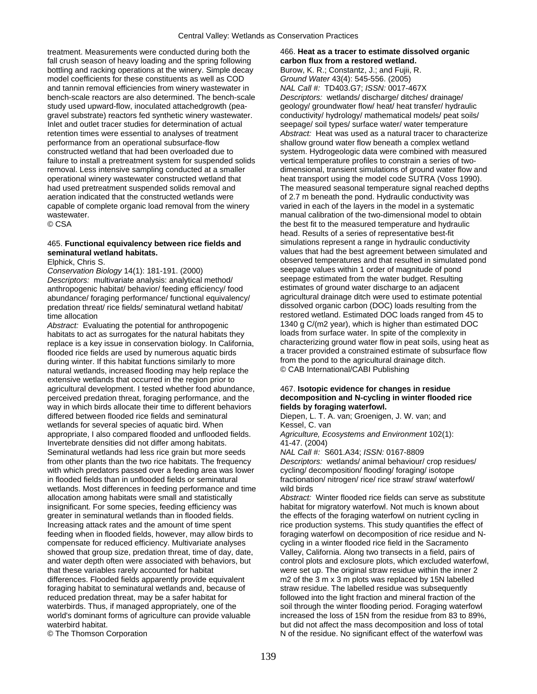treatment. Measurements were conducted during both the fall crush season of heavy loading and the spring following bottling and racking operations at the winery. Simple decay model coefficients for these constituents as well as COD and tannin removal efficiencies from winery wastewater in bench-scale reactors are also determined. The bench-scale study used upward-flow, inoculated attachedgrowth (peagravel substrate) reactors fed synthetic winery wastewater. Inlet and outlet tracer studies for determination of actual retention times were essential to analyses of treatment performance from an operational subsurface-flow constructed wetland that had been overloaded due to failure to install a pretreatment system for suspended solids removal. Less intensive sampling conducted at a smaller operational winery wastewater constructed wetland that had used pretreatment suspended solids removal and aeration indicated that the constructed wetlands were capable of complete organic load removal from the winery wastewater. © CSA

## 465. **Functional equivalency between rice fields and seminatural wetland habitats.**

Elphick, Chris S.

*Conservation Biology* 14(1): 181-191. (2000) *Descriptors:* multivariate analysis: analytical method/ anthropogenic habitat/ behavior/ feeding efficiency/ food abundance/ foraging performance/ functional equivalency/ predation threat/ rice fields/ seminatural wetland habitat/ time allocation

*Abstract:* Evaluating the potential for anthropogenic habitats to act as surrogates for the natural habitats they replace is a key issue in conservation biology. In California, flooded rice fields are used by numerous aquatic birds during winter. If this habitat functions similarly to more natural wetlands, increased flooding may help replace the extensive wetlands that occurred in the region prior to agricultural development. I tested whether food abundance, perceived predation threat, foraging performance, and the way in which birds allocate their time to different behaviors differed between flooded rice fields and seminatural wetlands for several species of aquatic bird. When appropriate, I also compared flooded and unflooded fields. Invertebrate densities did not differ among habitats. Seminatural wetlands had less rice grain but more seeds from other plants than the two rice habitats. The frequency with which predators passed over a feeding area was lower in flooded fields than in unflooded fields or seminatural wetlands. Most differences in feeding performance and time allocation among habitats were small and statistically insignificant. For some species, feeding efficiency was greater in seminatural wetlands than in flooded fields. Increasing attack rates and the amount of time spent feeding when in flooded fields, however, may allow birds to compensate for reduced efficiency. Multivariate analyses showed that group size, predation threat, time of day, date, and water depth often were associated with behaviors, but that these variables rarely accounted for habitat differences. Flooded fields apparently provide equivalent foraging habitat to seminatural wetlands and, because of reduced predation threat, may be a safer habitat for waterbirds. Thus, if managed appropriately, one of the world's dominant forms of agriculture can provide valuable waterbird habitat.

© The Thomson Corporation

## 466. **Heat as a tracer to estimate dissolved organic carbon flux from a restored wetland.**

Burow, K. R.; Constantz, J.; and Fujii, R. *Ground Water* 43(4): 545-556. (2005) *NAL Call #:* TD403.G7; *ISSN:* 0017-467X *Descriptors:* wetlands/ discharge/ ditches/ drainage/ geology/ groundwater flow/ heat/ heat transfer/ hydraulic conductivity/ hydrology/ mathematical models/ peat soils/ seepage/ soil types/ surface water/ water temperature *Abstract:* Heat was used as a natural tracer to characterize shallow ground water flow beneath a complex wetland system. Hydrogeologic data were combined with measured vertical temperature profiles to constrain a series of twodimensional, transient simulations of ground water flow and heat transport using the model code SUTRA (Voss 1990). The measured seasonal temperature signal reached depths of 2.7 m beneath the pond. Hydraulic conductivity was varied in each of the layers in the model in a systematic manual calibration of the two-dimensional model to obtain the best fit to the measured temperature and hydraulic head. Results of a series of representative best-fit simulations represent a range in hydraulic conductivity values that had the best agreement between simulated and observed temperatures and that resulted in simulated pond seepage values within 1 order of magnitude of pond seepage estimated from the water budget. Resulting estimates of ground water discharge to an adjacent agricultural drainage ditch were used to estimate potential dissolved organic carbon (DOC) loads resulting from the restored wetland. Estimated DOC loads ranged from 45 to 1340 g C/(m2 year), which is higher than estimated DOC loads from surface water. In spite of the complexity in characterizing ground water flow in peat soils, using heat as a tracer provided a constrained estimate of subsurface flow from the pond to the agricultural drainage ditch. © CAB International/CABI Publishing

## 467. **Isotopic evidence for changes in residue decomposition and N-cycling in winter flooded rice fields by foraging waterfowl.**

Diepen, L. T. A. van; Groenigen, J. W. van; and Kessel, C. van

*Agriculture, Ecosystems and Environment* 102(1): 41-47. (2004)

*NAL Call #:* S601.A34; *ISSN:* 0167-8809 *Descriptors:* wetlands/ animal behaviour/ crop residues/ cycling/ decomposition/ flooding/ foraging/ isotope fractionation/ nitrogen/ rice/ rice straw/ straw/ waterfowl/ wild birds

*Abstract:* Winter flooded rice fields can serve as substitute habitat for migratory waterfowl. Not much is known about the effects of the foraging waterfowl on nutrient cycling in rice production systems. This study quantifies the effect of foraging waterfowl on decomposition of rice residue and Ncycling in a winter flooded rice field in the Sacramento Valley, California. Along two transects in a field, pairs of control plots and exclosure plots, which excluded waterfowl, were set up. The original straw residue within the inner 2 m2 of the 3 m x 3 m plots was replaced by 15N labelled straw residue. The labelled residue was subsequently followed into the light fraction and mineral fraction of the soil through the winter flooding period. Foraging waterfowl increased the loss of 15N from the residue from 83 to 89%, but did not affect the mass decomposition and loss of total N of the residue. No significant effect of the waterfowl was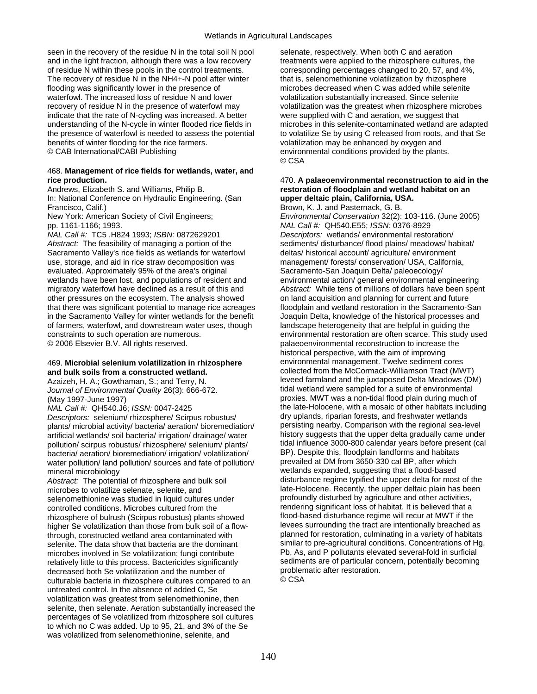seen in the recovery of the residue N in the total soil N pool and in the light fraction, although there was a low recovery of residue N within these pools in the control treatments. The recovery of residue N in the NH4+-N pool after winter flooding was significantly lower in the presence of waterfowl. The increased loss of residue N and lower recovery of residue N in the presence of waterfowl may indicate that the rate of N-cycling was increased. A better understanding of the N-cycle in winter flooded rice fields in the presence of waterfowl is needed to assess the potential benefits of winter flooding for the rice farmers. © CAB International/CABI Publishing

#### 468. **Management of rice fields for wetlands, water, and rice production.**

Andrews, Elizabeth S. and Williams, Philip B. In: National Conference on Hydraulic Engineering. (San Francisco, Calif.)

New York: American Society of Civil Engineers; pp. 1161-1166; 1993.

*NAL Call #:* TC5 .H824 1993; *ISBN:* 0872629201 *Abstract:* The feasibility of managing a portion of the Sacramento Valley's rice fields as wetlands for waterfowl use, storage, and aid in rice straw decomposition was evaluated. Approximately 95% of the area's original wetlands have been lost, and populations of resident and migratory waterfowl have declined as a result of this and other pressures on the ecosystem. The analysis showed that there was significant potential to manage rice acreages in the Sacramento Valley for winter wetlands for the benefit of farmers, waterfowl, and downstream water uses, though constraints to such operation are numerous. © 2006 Elsevier B.V. All rights reserved.

#### 469. **Microbial selenium volatilization in rhizosphere and bulk soils from a constructed wetland.**

Azaizeh, H. A.; Gowthaman, S.; and Terry, N. *Journal of Environmental Quality* 26(3): 666-672. (May 1997-June 1997)

*NAL Call #:* QH540.J6; *ISSN:* 0047-2425

*Descriptors:* selenium/ rhizosphere/ Scirpus robustus/ plants/ microbial activity/ bacteria/ aeration/ bioremediation/ artificial wetlands/ soil bacteria/ irrigation/ drainage/ water pollution/ scirpus robustus/ rhizosphere/ selenium/ plants/ bacteria/ aeration/ bioremediation/ irrigation/ volatilization/ water pollution/ land pollution/ sources and fate of pollution/ mineral microbiology

*Abstract:* The potential of rhizosphere and bulk soil microbes to volatilize selenate, selenite, and selenomethionine was studied in liquid cultures under controlled conditions. Microbes cultured from the rhizosphere of bulrush (Scirpus robustus) plants showed higher Se volatilization than those from bulk soil of a flowthrough, constructed wetland area contaminated with selenite. The data show that bacteria are the dominant microbes involved in Se volatilization; fungi contribute relatively little to this process. Bactericides significantly decreased both Se volatilization and the number of culturable bacteria in rhizosphere cultures compared to an untreated control. In the absence of added C, Se volatilization was greatest from selenomethionine, then selenite, then selenate. Aeration substantially increased the percentages of Se volatilized from rhizosphere soil cultures to which no C was added. Up to 95, 21, and 3% of the Se was volatilized from selenomethionine, selenite, and

selenate, respectively. When both C and aeration treatments were applied to the rhizosphere cultures, the corresponding percentages changed to 20, 57, and 4%, that is, selenomethionine volatilization by rhizosphere microbes decreased when C was added while selenite volatilization substantially increased. Since selenite volatilization was the greatest when rhizosphere microbes were supplied with C and aeration, we suggest that microbes in this selenite-contaminated wetland are adapted to volatilize Se by using C released from roots, and that Se volatilization may be enhanced by oxygen and environmental conditions provided by the plants. © CSA

## 470. **A palaeoenvironmental reconstruction to aid in the restoration of floodplain and wetland habitat on an upper deltaic plain, California, USA.**

Brown, K. J. and Pasternack, G. B. *Environmental Conservation* 32(2): 103-116. (June 2005) *NAL Call #:* QH540.E55; *ISSN:* 0376-8929 *Descriptors:* wetlands/ environmental restoration/ sediments/ disturbance/ flood plains/ meadows/ habitat/ deltas/ historical account/ agriculture/ environment management/ forests/ conservation/ USA, California, Sacramento-San Joaquin Delta/ paleoecology/ environmental action/ general environmental engineering *Abstract:* While tens of millions of dollars have been spent on land acquisition and planning for current and future floodplain and wetland restoration in the Sacramento-San Joaquin Delta, knowledge of the historical processes and landscape heterogeneity that are helpful in guiding the environmental restoration are often scarce. This study used palaeoenvironmental reconstruction to increase the historical perspective, with the aim of improving environmental management. Twelve sediment cores collected from the McCormack-Williamson Tract (MWT) leveed farmland and the juxtaposed Delta Meadows (DM) tidal wetland were sampled for a suite of environmental proxies. MWT was a non-tidal flood plain during much of the late-Holocene, with a mosaic of other habitats including dry uplands, riparian forests, and freshwater wetlands persisting nearby. Comparison with the regional sea-level history suggests that the upper delta gradually came under tidal influence 3000-800 calendar years before present (cal BP). Despite this, floodplain landforms and habitats prevailed at DM from 3650-330 cal BP, after which wetlands expanded, suggesting that a flood-based disturbance regime typified the upper delta for most of the late-Holocene. Recently, the upper deltaic plain has been profoundly disturbed by agriculture and other activities, rendering significant loss of habitat. It is believed that a flood-based disturbance regime will recur at MWT if the levees surrounding the tract are intentionally breached as planned for restoration, culminating in a variety of habitats similar to pre-agricultural conditions. Concentrations of Hg, Pb, As, and P pollutants elevated several-fold in surficial sediments are of particular concern, potentially becoming problematic after restoration.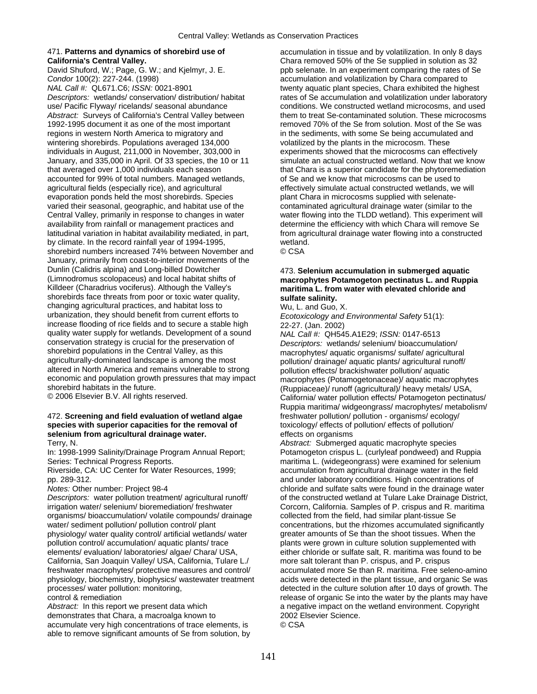## 471. **Patterns and dynamics of shorebird use of California's Central Valley.**

David Shuford, W.; Page, G. W.; and Kjelmyr, J. E. *Condor* 100(2): 227-244. (1998) *NAL Call #:* QL671.C6; *ISSN:* 0021-8901 *Descriptors:* wetlands/ conservation/ distribution/ habitat use/ Pacific Flyway/ ricelands/ seasonal abundance *Abstract:* Surveys of California's Central Valley between 1992-1995 document it as one of the most important regions in western North America to migratory and wintering shorebirds. Populations averaged 134,000 individuals in August, 211,000 in November, 303,000 in

January, and 335,000 in April. Of 33 species, the 10 or 11 that averaged over 1,000 individuals each season accounted for 99% of total numbers. Managed wetlands, agricultural fields (especially rice), and agricultural evaporation ponds held the most shorebirds. Species varied their seasonal, geographic, and habitat use of the Central Valley, primarily in response to changes in water availability from rainfall or management practices and latitudinal variation in habitat availability mediated, in part, by climate. In the record rainfall year of 1994-1995, shorebird numbers increased 74% between November and January, primarily from coast-to-interior movements of the Dunlin (Calidris alpina) and Long-billed Dowitcher (Limnodromus scolopaceus) and local habitat shifts of Killdeer (Charadrius vociferus). Although the Valley's shorebirds face threats from poor or toxic water quality, changing agricultural practices, and habitat loss to urbanization, they should benefit from current efforts to increase flooding of rice fields and to secure a stable high quality water supply for wetlands. Development of a sound conservation strategy is crucial for the preservation of shorebird populations in the Central Valley, as this agriculturally-dominated landscape is among the most altered in North America and remains vulnerable to strong economic and population growth pressures that may impact shorebird habitats in the future.

© 2006 Elsevier B.V. All rights reserved.

#### 472. **Screening and field evaluation of wetland algae species with superior capacities for the removal of selenium from agricultural drainage water.**  Terry, N.

In: 1998-1999 Salinity/Drainage Program Annual Report; Series: Technical Progress Reports.

Riverside, CA: UC Center for Water Resources, 1999; pp. 289-312.

*Notes:* Other number: Project 98-4

*Descriptors:* water pollution treatment/ agricultural runoff/ irrigation water/ selenium/ bioremediation/ freshwater organisms/ bioaccumulation/ volatile compounds/ drainage water/ sediment pollution/ pollution control/ plant physiology/ water quality control/ artificial wetlands/ water pollution control/ accumulation/ aquatic plants/ trace elements/ evaluation/ laboratories/ algae/ Chara/ USA, California, San Joaquin Valley/ USA, California, Tulare L./ freshwater macrophytes/ protective measures and control/ physiology, biochemistry, biophysics/ wastewater treatment processes/ water pollution: monitoring, control & remediation

*Abstract:* In this report we present data which demonstrates that Chara, a macroalga known to accumulate very high concentrations of trace elements, is able to remove significant amounts of Se from solution, by

accumulation in tissue and by volatilization. In only 8 days Chara removed 50% of the Se supplied in solution as 32 ppb selenate. In an experiment comparing the rates of Se accumulation and volatilization by Chara compared to twenty aquatic plant species, Chara exhibited the highest rates of Se accumulation and volatilization under laboratory conditions. We constructed wetland microcosms, and used them to treat Se-contaminated solution. These microcosms removed 70% of the Se from solution. Most of the Se was in the sediments, with some Se being accumulated and volatilized by the plants in the microcosm. These experiments showed that the microcosms can effectively simulate an actual constructed wetland. Now that we know that Chara is a superior candidate for the phytoremediation of Se and we know that microcosms can be used to effectively simulate actual constructed wetlands, we will plant Chara in microcosms supplied with selenatecontaminated agricultural drainage water (similar to the water flowing into the TLDD wetland). This experiment will determine the efficiency with which Chara will remove Se from agricultural drainage water flowing into a constructed wetland.

© CSA

## 473. **Selenium accumulation in submerged aquatic macrophytes Potamogeton pectinatus L. and Ruppia maritima L. from water with elevated chloride and sulfate salinity.**

Wu, L. and Guo, X.

*Ecotoxicology and Environmental Safety* 51(1): 22-27. (Jan. 2002)

*NAL Call #:* QH545.A1E29; *ISSN:* 0147-6513 *Descriptors:* wetlands/ selenium/ bioaccumulation/ macrophytes/ aquatic organisms/ sulfate/ agricultural pollution/ drainage/ aquatic plants/ agricultural runoff/ pollution effects/ brackishwater pollution/ aquatic macrophytes (Potamogetonaceae)/ aquatic macrophytes (Ruppiaceae)/ runoff (agricultural)/ heavy metals/ USA, California/ water pollution effects/ Potamogeton pectinatus/ Ruppia maritima/ widgeongrass/ macrophytes/ metabolism/ freshwater pollution/ pollution - organisms/ ecology/ toxicology/ effects of pollution/ effects of pollution/ effects on organisms

*Abstract:* Submerged aquatic macrophyte species Potamogeton crispus L. (curlyleaf pondweed) and Ruppia maritima L. (widegeongrass) were examined for selenium accumulation from agricultural drainage water in the field and under laboratory conditions. High concentrations of chloride and sulfate salts were found in the drainage water of the constructed wetland at Tulare Lake Drainage District, Corcorn, California. Samples of P. crispus and R. maritima collected from the field, had similar plant-tissue Se concentrations, but the rhizomes accumulated significantly greater amounts of Se than the shoot tissues. When the plants were grown in culture solution supplemented with either chloride or sulfate salt, R. maritima was found to be more salt tolerant than P. crispus, and P. crispus accumulated more Se than R. maritima. Free seleno-amino acids were detected in the plant tissue, and organic Se was detected in the culture solution after 10 days of growth. The release of organic Se into the water by the plants may have a negative impact on the wetland environment. Copyright 2002 Elsevier Science.

© CSA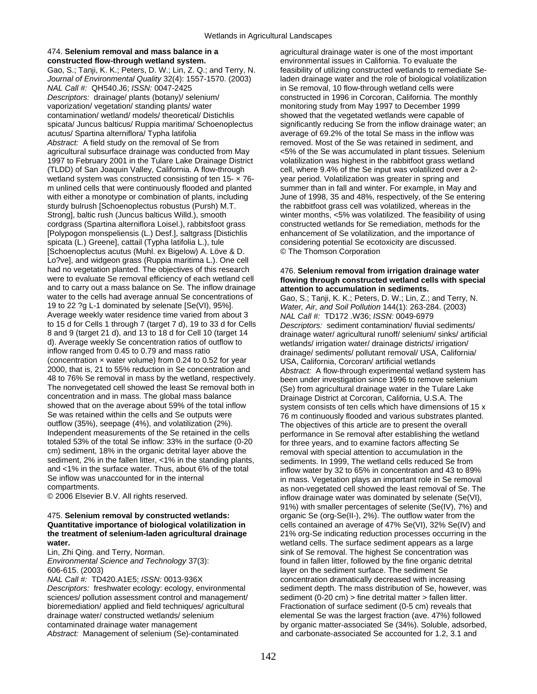#### 474. **Selenium removal and mass balance in a constructed flow-through wetland system.**

Gao, S.; Tanji, K. K.; Peters, D. W.; Lin, Z. Q.; and Terry, N. *Journal of Environmental Quality* 32(4): 1557-1570. (2003) *NAL Call #:* QH540.J6; *ISSN:* 0047-2425 *Descriptors:* drainage/ plants (botany)/ selenium/ vaporization/ vegetation/ standing plants/ water contamination/ wetland/ models/ theoretical/ Distichlis spicata/ Juncus balticus/ Ruppia maritima/ Schoenoplectus acutus/ Spartina alterniflora/ Typha latifolia *Abstract:* A field study on the removal of Se from agricultural subsurface drainage was conducted from May 1997 to February 2001 in the Tulare Lake Drainage District (TLDD) of San Joaquin Valley, California. A flow-through wetland system was constructed consisting of ten 15- × 76 m unlined cells that were continuously flooded and planted with either a monotype or combination of plants, including sturdy bulrush [Schoenoplectus robustus (Pursh) M.T. Strong], baltic rush (Juncus balticus Willd.), smooth cordgrass (Spartina alterniflora Loisel.), rabbitsfoot grass [Polypogon monspeliensis (L.) Desf.], saltgrass [Distichlis spicata (L.) Greene], cattail (Typha latifolia L.), tule [Schoenoplectus acutus (Muhl. ex Bigelow) A. Löve & D. Lo?ve], and widgeon grass (Ruppia maritima L.). One cell had no vegetation planted. The objectives of this research were to evaluate Se removal efficiency of each wetland cell and to carry out a mass balance on Se. The inflow drainage water to the cells had average annual Se concentrations of 19 to 22 ?g L-1 dominated by selenate [Se(VI), 95%]. Average weekly water residence time varied from about 3 to 15 d for Cells 1 through 7 (target 7 d), 19 to 33 d for Cells 8 and 9 (target 21 d), and 13 to 18 d for Cell 10 (target 14 d). Average weekly Se concentration ratios of outflow to inflow ranged from 0.45 to 0.79 and mass ratio (concentration  $\times$  water volume) from 0.24 to 0.52 for year 2000, that is, 21 to 55% reduction in Se concentration and 48 to 76% Se removal in mass by the wetland, respectively. The nonvegetated cell showed the least Se removal both in concentration and in mass. The global mass balance showed that on the average about 59% of the total inflow Se was retained within the cells and Se outputs were outflow (35%), seepage (4%), and volatilization (2%). Independent measurements of the Se retained in the cells totaled 53% of the total Se inflow: 33% in the surface (0-20 cm) sediment, 18% in the organic detrital layer above the sediment, 2% in the fallen litter, <1% in the standing plants, and <1% in the surface water. Thus, about 6% of the total Se inflow was unaccounted for in the internal compartments.

© 2006 Elsevier B.V. All rights reserved.

## 475. **Selenium removal by constructed wetlands: Quantitative importance of biological volatilization in the treatment of selenium-laden agricultural drainage water.**

Lin, Zhi Qing. and Terry, Norman. *Environmental Science and Technology* 37(3): 606-615. (2003)

*NAL Call #:* TD420.A1E5; *ISSN:* 0013-936X *Descriptors:* freshwater ecology: ecology, environmental sciences/ pollution assessment control and management/ bioremediation/ applied and field techniques/ agricultural drainage water/ constructed wetlands/ selenium contaminated drainage water management *Abstract:* Management of selenium (Se)-contaminated

agricultural drainage water is one of the most important environmental issues in California. To evaluate the feasibility of utilizing constructed wetlands to remediate Seladen drainage water and the role of biological volatilization in Se removal, 10 flow-through wetland cells were constructed in 1996 in Corcoran, California. The monthly monitoring study from May 1997 to December 1999 showed that the vegetated wetlands were capable of significantly reducing Se from the inflow drainage water; an average of 69.2% of the total Se mass in the inflow was removed. Most of the Se was retained in sediment, and <5% of the Se was accumulated in plant tissues. Selenium volatilization was highest in the rabbitfoot grass wetland cell, where 9.4% of the Se input was volatilized over a 2 year period. Volatilization was greater in spring and summer than in fall and winter. For example, in May and June of 1998, 35 and 48%, respectively, of the Se entering the rabbitfoot grass cell was volatilized, whereas in the winter months, <5% was volatilized. The feasibility of using constructed wetlands for Se remediation, methods for the enhancement of Se volatilization, and the importance of considering potential Se ecotoxicity are discussed. © The Thomson Corporation

## 476. **Selenium removal from irrigation drainage water flowing through constructed wetland cells with special attention to accumulation in sediments.**

Gao, S.; Tanji, K. K.; Peters, D. W.; Lin, Z.; and Terry, N. *Water, Air, and Soil Pollution* 144(1): 263-284. (2003) *NAL Call #:* TD172 .W36; *ISSN:* 0049-6979 *Descriptors:* sediment contamination/ fluvial sediments/ drainage water/ agricultural runoff/ selenium/ sinks/ artificial wetlands/ irrigation water/ drainage districts/ irrigation/ drainage/ sediments/ pollutant removal/ USA, California/ USA, California, Corcoran/ artificial wetlands *Abstract:* A flow-through experimental wetland system has been under investigation since 1996 to remove selenium (Se) from agricultural drainage water in the Tulare Lake Drainage District at Corcoran, California, U.S.A. The system consists of ten cells which have dimensions of 15 x 76 m continuously flooded and various substrates planted. The objectives of this article are to present the overall performance in Se removal after establishing the wetland for three years, and to examine factors affecting Se removal with special attention to accumulation in the sediments. In 1999, The wetland cells reduced Se from inflow water by 32 to 65% in concentration and 43 to 89% in mass. Vegetation plays an important role in Se removal as non-vegetated cell showed the least removal of Se. The inflow drainage water was dominated by selenate (Se(VI), 91%) with smaller percentages of selenite (Se(IV), 7%) and organic Se (org-Se(II-), 2%). The outflow water from the cells contained an average of 47% Se(VI), 32% Se(IV) and 21% org-Se indicating reduction processes occurring in the wetland cells. The surface sediment appears as a large sink of Se removal. The highest Se concentration was found in fallen litter, followed by the fine organic detrital layer on the sediment surface. The sediment Se concentration dramatically decreased with increasing sediment depth. The mass distribution of Se, however, was sediment (0-20 cm) > fine detrital matter > fallen litter. Fractionation of surface sediment (0-5 cm) reveals that elemental Se was the largest fraction (ave. 47%) followed by organic matter-associated Se (34%). Soluble, adsorbed, and carbonate-associated Se accounted for 1.2, 3.1 and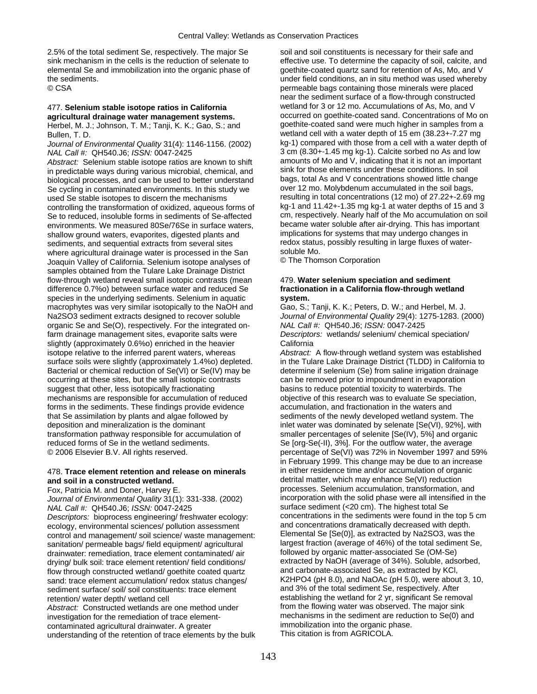2.5% of the total sediment Se, respectively. The major Se sink mechanism in the cells is the reduction of selenate to elemental Se and immobilization into the organic phase of the sediments.

© CSA

## 477. **Selenium stable isotope ratios in California agricultural drainage water management systems.**

Herbel, M. J.; Johnson, T. M.; Tanji, K. K.; Gao, S.; and Bullen, T. D.

*Journal of Environmental Quality* 31(4): 1146-1156. (2002) *NAL Call #:* QH540.J6; *ISSN:* 0047-2425

*Abstract:* Selenium stable isotope ratios are known to shift in predictable ways during various microbial, chemical, and biological processes, and can be used to better understand Se cycling in contaminated environments. In this study we used Se stable isotopes to discern the mechanisms controlling the transformation of oxidized, aqueous forms of Se to reduced, insoluble forms in sediments of Se-affected environments. We measured 80Se/76Se in surface waters, shallow ground waters, evaporites, digested plants and sediments, and sequential extracts from several sites where agricultural drainage water is processed in the San Joaquin Valley of California. Selenium isotope analyses of samples obtained from the Tulare Lake Drainage District flow-through wetland reveal small isotopic contrasts (mean difference 0.7%o) between surface water and reduced Se species in the underlying sediments. Selenium in aquatic macrophytes was very similar isotopically to the NaOH and Na2SO3 sediment extracts designed to recover soluble organic Se and Se(O), respectively. For the integrated onfarm drainage management sites, evaporite salts were slightly (approximately 0.6%o) enriched in the heavier isotope relative to the inferred parent waters, whereas surface soils were slightly (approximately 1.4%o) depleted. Bacterial or chemical reduction of Se(VI) or Se(IV) may be occurring at these sites, but the small isotopic contrasts suggest that other, less isotopically fractionating mechanisms are responsible for accumulation of reduced forms in the sediments. These findings provide evidence that Se assimilation by plants and algae followed by deposition and mineralization is the dominant transformation pathway responsible for accumulation of reduced forms of Se in the wetland sediments. © 2006 Elsevier B.V. All rights reserved.

## 478. **Trace element retention and release on minerals and soil in a constructed wetland.**

Fox, Patricia M. and Doner, Harvey E. *Journal of Environmental Quality* 31(1): 331-338. (2002) *NAL Call #:* QH540.J6; *ISSN:* 0047-2425 *Descriptors:* bioprocess engineering/ freshwater ecology: ecology, environmental sciences/ pollution assessment control and management/ soil science/ waste management: sanitation/ permeable bags/ field equipment/ agricultural drainwater: remediation, trace element contaminated/ air drying/ bulk soil: trace element retention/ field conditions/ flow through constructed wetland/ goethite coated quartz sand: trace element accumulation/ redox status changes/ sediment surface/ soil/ soil constituents: trace element retention/ water depth/ wetland cell

*Abstract:* Constructed wetlands are one method under investigation for the remediation of trace elementcontaminated agricultural drainwater. A greater understanding of the retention of trace elements by the bulk

soil and soil constituents is necessary for their safe and effective use. To determine the capacity of soil, calcite, and goethite-coated quartz sand for retention of As, Mo, and V under field conditions, an in situ method was used whereby permeable bags containing those minerals were placed near the sediment surface of a flow-through constructed wetland for 3 or 12 mo. Accumulations of As, Mo, and V occurred on goethite-coated sand. Concentrations of Mo on goethite-coated sand were much higher in samples from a wetland cell with a water depth of 15 em (38.23+-7.27 mg kg-1) compared with those from a cell with a water depth of 3 cm (8.30+-1.45 mg kg-1). Calcite sorbed no As and low amounts of Mo and V, indicating that it is not an important sink for those elements under these conditions. In soil bags, total As and V concentrations showed little change over 12 mo. Molybdenum accumulated in the soil bags, resulting in total concentrations (12 mo) of 27.22+-2.69 mg kg-1 and 11.42+-1.35 mg kg-1 at water depths of 15 and 3 cm, respectively. Nearly half of the Mo accumulation on soil became water soluble after air-drying. This has important implications for systems that may undergo changes in redox status, possibly resulting in large fluxes of watersoluble Mo.

© The Thomson Corporation

## 479. **Water selenium speciation and sediment fractionation in a California flow-through wetland system.**

Gao, S.; Tanji, K. K.; Peters, D. W.; and Herbel, M. J. *Journal of Environmental Quality* 29(4): 1275-1283. (2000) *NAL Call #:* QH540.J6; *ISSN:* 0047-2425 *Descriptors:* wetlands/ selenium/ chemical speciation/ **California** 

*Abstract:* A flow-through wetland system was established in the Tulare Lake Drainage District (TLDD) in California to determine if selenium (Se) from saline irrigation drainage can be removed prior to impoundment in evaporation basins to reduce potential toxicity to waterbirds. The objective of this research was to evaluate Se speciation, accumulation, and fractionation in the waters and sediments of the newly developed wetland system. The inlet water was dominated by selenate [Se(VI), 92%], with smaller percentages of selenite [Se(IV), 5%] and organic Se [org-Se(-II), 3%]. For the outflow water, the average percentage of Se(VI) was 72% in November 1997 and 59% in February 1999. This change may be due to an increase in either residence time and/or accumulation of organic detrital matter, which may enhance Se(VI) reduction processes. Selenium accumulation, transformation, and incorporation with the solid phase were all intensified in the surface sediment (<20 cm). The highest total Se concentrations in the sediments were found in the top 5 cm and concentrations dramatically decreased with depth. Elemental Se [Se(0)], as extracted by Na2SO3, was the largest fraction (average of 46%) of the total sediment Se, followed by organic matter-associated Se (OM-Se) extracted by NaOH (average of 34%). Soluble, adsorbed, and carbonate-associated Se, as extracted by KCl, K2HPO4 (pH 8.0), and NaOAc (pH 5.0), were about 3, 10, and 3% of the total sediment Se, respectively. After establishing the wetland for 2 yr, significant Se removal from the flowing water was observed. The major sink mechanisms in the sediment are reduction to Se(0) and immobilization into the organic phase. This citation is from AGRICOLA.